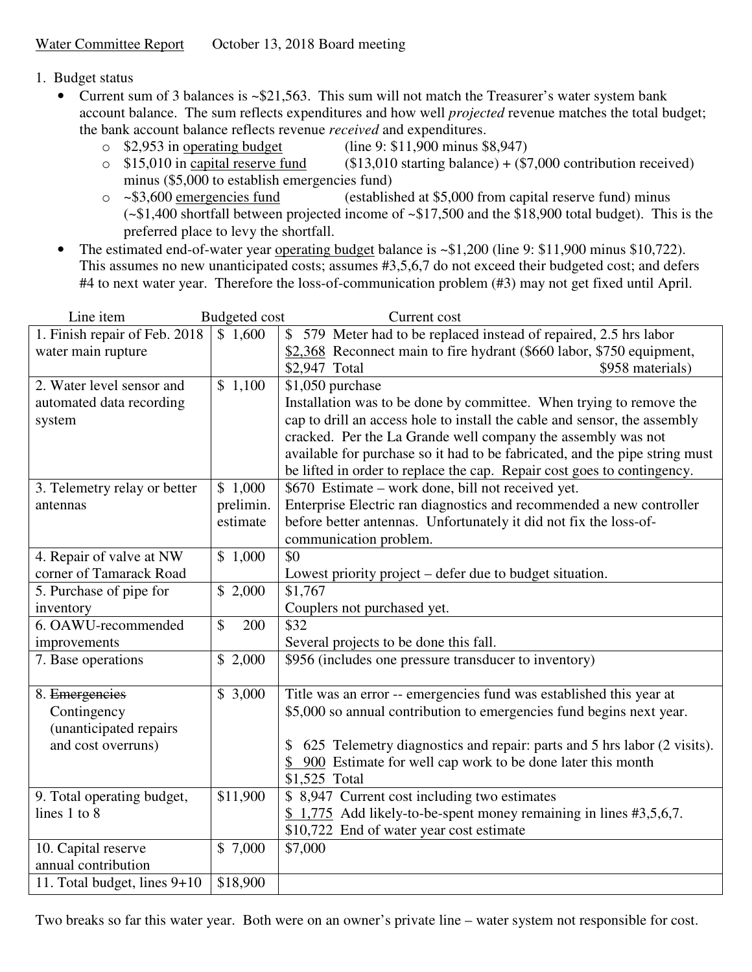- 1. Budget status
	- Current sum of 3 balances is ~\$21,563. This sum will not match the Treasurer's water system bank account balance. The sum reflects expenditures and how well *projected* revenue matches the total budget; the bank account balance reflects revenue *received* and expenditures.
		- $\degree$  \$2,953 in operating budget (line 9: \$11,900 minus \$8,947)
		- $\circ$  \$15,010 in capital reserve fund (\$13,010 starting balance) + (\$7,000 contribution received) minus (\$5,000 to establish emergencies fund)
		- o ~\$3,600 emergencies fund (established at \$5,000 from capital reserve fund) minus (~\$1,400 shortfall between projected income of ~\$17,500 and the \$18,900 total budget). This is the preferred place to levy the shortfall.
	- The estimated end-of-water year <u>operating budget</u> balance is ~\$1,200 (line 9: \$11,900 minus \$10,722). This assumes no new unanticipated costs; assumes #3,5,6,7 do not exceed their budgeted cost; and defers #4 to next water year. Therefore the loss-of-communication problem (#3) may not get fixed until April.

| Line item                     | <b>Budgeted</b> cost | Current cost                                                                |
|-------------------------------|----------------------|-----------------------------------------------------------------------------|
| 1. Finish repair of Feb. 2018 | \$1,600              | \$579 Meter had to be replaced instead of repaired, 2.5 hrs labor           |
| water main rupture            |                      | \$2,368 Reconnect main to fire hydrant (\$660 labor, \$750 equipment,       |
|                               |                      | \$958 materials)<br>\$2,947 Total                                           |
| 2. Water level sensor and     | \$1,100              | \$1,050 purchase                                                            |
| automated data recording      |                      | Installation was to be done by committee. When trying to remove the         |
| system                        |                      | cap to drill an access hole to install the cable and sensor, the assembly   |
|                               |                      | cracked. Per the La Grande well company the assembly was not                |
|                               |                      | available for purchase so it had to be fabricated, and the pipe string must |
|                               |                      | be lifted in order to replace the cap. Repair cost goes to contingency.     |
| 3. Telemetry relay or better  | \$1,000              | \$670 Estimate – work done, bill not received yet.                          |
| antennas                      | prelimin.            | Enterprise Electric ran diagnostics and recommended a new controller        |
|                               | estimate             | before better antennas. Unfortunately it did not fix the loss-of-           |
|                               |                      | communication problem.                                                      |
| 4. Repair of valve at NW      | \$1,000              | \$0                                                                         |
| corner of Tamarack Road       |                      | Lowest priority project – defer due to budget situation.                    |
| 5. Purchase of pipe for       | \$2,000              | \$1,767                                                                     |
| inventory                     |                      | Couplers not purchased yet.                                                 |
| 6. OAWU-recommended           | \$<br>200            | \$32                                                                        |
| improvements                  |                      | Several projects to be done this fall.                                      |
| 7. Base operations            | \$2,000              | \$956 (includes one pressure transducer to inventory)                       |
|                               |                      |                                                                             |
| 8. Emergencies                | \$3,000              | Title was an error -- emergencies fund was established this year at         |
| Contingency                   |                      | \$5,000 so annual contribution to emergencies fund begins next year.        |
| (unanticipated repairs        |                      |                                                                             |
| and cost overruns)            |                      | \$ 625 Telemetry diagnostics and repair: parts and 5 hrs labor (2 visits).  |
|                               |                      | 900 Estimate for well cap work to be done later this month                  |
|                               |                      | \$1,525 Total                                                               |
| 9. Total operating budget,    | \$11,900             | \$ 8,947 Current cost including two estimates                               |
| lines 1 to 8                  |                      | \$1,775 Add likely-to-be-spent money remaining in lines #3,5,6,7.           |
|                               |                      | \$10,722 End of water year cost estimate                                    |
| 10. Capital reserve           | \$7,000              | \$7,000                                                                     |
| annual contribution           |                      |                                                                             |
| 11. Total budget, lines 9+10  | \$18,900             |                                                                             |

Two breaks so far this water year. Both were on an owner's private line – water system not responsible for cost.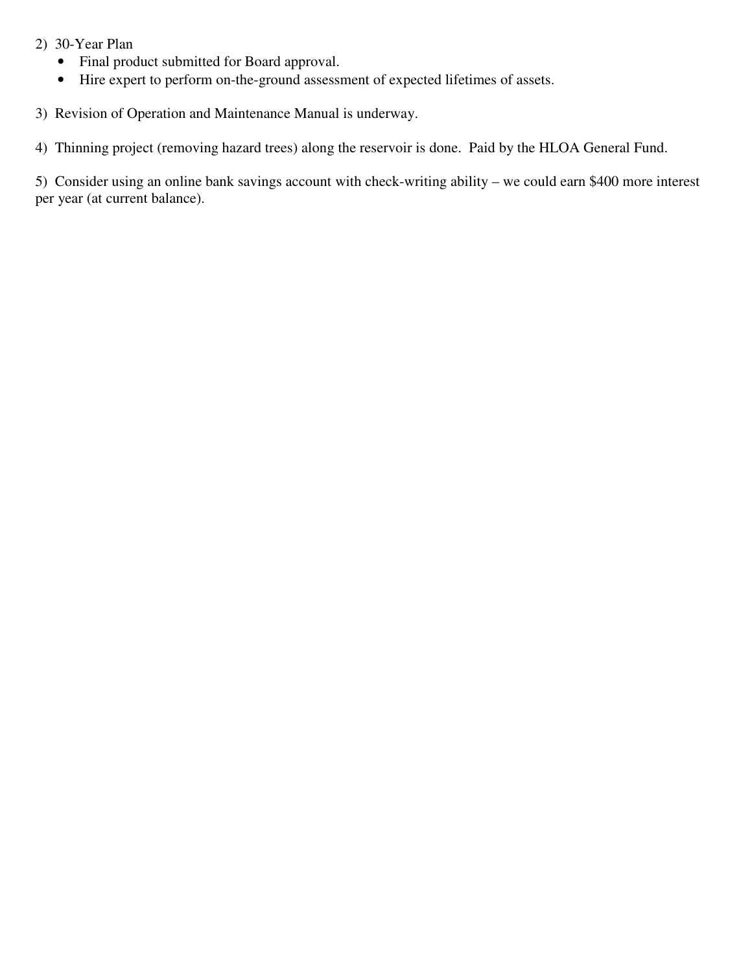- 2) 30-Year Plan
	- Final product submitted for Board approval.
	- Hire expert to perform on-the-ground assessment of expected lifetimes of assets.
- 3) Revision of Operation and Maintenance Manual is underway.
- 4) Thinning project (removing hazard trees) along the reservoir is done. Paid by the HLOA General Fund.

5) Consider using an online bank savings account with check-writing ability – we could earn \$400 more interest per year (at current balance).